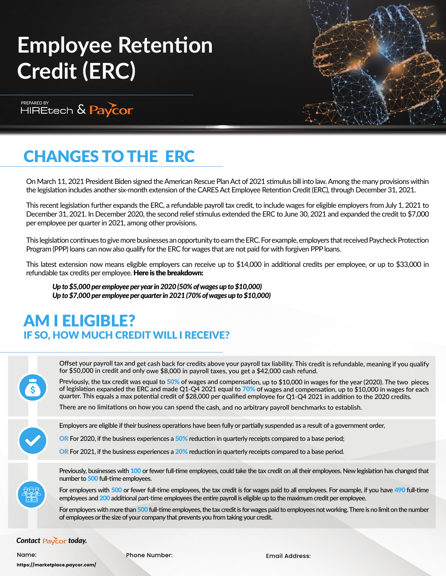**PREPARED BY**<br>HIREtech & Paycor



### CHANGES TO THE ERC

On March 11, 2021 President Biden signed the American Rescue Plan Act of 2021 stimulus bill into law. Among the many provisions within the legislation includes another six-month extension of the CARES Act Employee Retention Credit (ERC), through December 31, 2021.

This recent legislation further expands the ERC, a refundable payroll tax credit, to include wages for eligible employers from July 1, 2021 to December 31, 2021. In December 2020, the second relief stimulus extended the ERC to June 30, 2021 and expanded the credit to \$7,000 per employee per quarter in 2021, among other provisions.

This legislation continues to give more businesses an opportunity to earn the ERC. For example, employers that received Paycheck Protection Program (PPP) loans can now also qualify for the ERC for wages that are not paid for with forgiven PPP loans.

This latest extension now means eligible employers can receive up to \$14,000 in additional credits per employee, or up to \$33,000 in refundable tax credits per employee. Here is the breakdown:

*Up to \$5,000 per employee per year in 2020 (50% of wages up to \$10,000) Up to \$7,000 per employee per quarter in 2021 (70% of wages up to \$10,000)*

#### AM I ELIGIBLE? IF SO, HOW MUCH CREDIT WILL I RECEIVE?

Offset your payroll tax and get cash back for credits above your payroll tax liability. This credit is refundable, meaning if you qualify for \$50,000 in credit and only owe \$8,000 in payroll taxes, you get a \$42,000 cash refund.

Previously, the tax credit was equal to 50% of wages and compensation, up to \$10,000 in wages for the year (2020). The two pieces of legislation expanded the ERC and made Q1-Q4 2021 equal to  $70\%$  of wages and compensation, up to \$10,000 in wages for each quarter. This equals a max potential credit of \$28,000 per qualified employee for Q1-Q4 2021 in addition to the 2020 credits.

There are no limitations on how you can spend the cash, and no arbitrary payroll benchmarks to establish.

Employers are eligible if their business operations have been fully or partially suspended as a result of a government order,

OR For 2020, if the business experiences a 50% reduction in quarterly receipts compared to a base period;

OR For 2021, if the business experiences a 20% reduction in quarterly receipts compared to a base period.



Previously, businesses with 100 or fewer full-time employees, could take the tax credit on all their employees. New legislation has changed that number to 500 full-time employees.

For employers with 500 or fewer full-time employees, the tax credit is for wages paid to all employees. For example, if you have 490 full-time employees and 200 additional part-time employees the entire payroll is eligible up to the maximum credit per employee.

For employers with more than 500 full-time employees, the tax credit is for wages paid to employees not working. There is no limit on the number of employees or the size of your company that prevents you from taking your credit.

#### **Contact Paycor today.**

Name: Phone Number: Email Address: **https://marketplace.paycor.com/**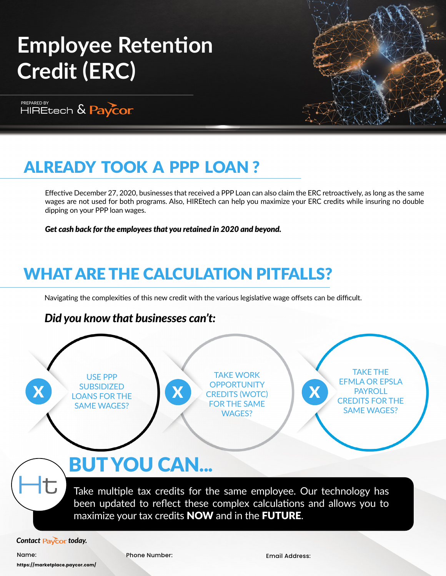PREPARED BY<br>HIREtech & Paycor



## ALREADY TOOK A PPP LOAN ?

Effective December 27, 2020, businesses that received a PPP Loan can also claim the ERC retroactively, as long as the same wages are not used for both programs. Also, HIREtech can help you maximize your ERC credits while insuring no double dipping on your PPP loan wages.

*Get cash back for the employees that you retained in 2020 and beyond.*

### WHAT ARE THE CALCULATION PITFALLS?

Navigating the complexities of this new credit with the various legislative wage offsets can be difficult.

#### *Did you know that businesses can't:*



Name: Phone Number: Email Address: **https://marketplace.paycor.com/**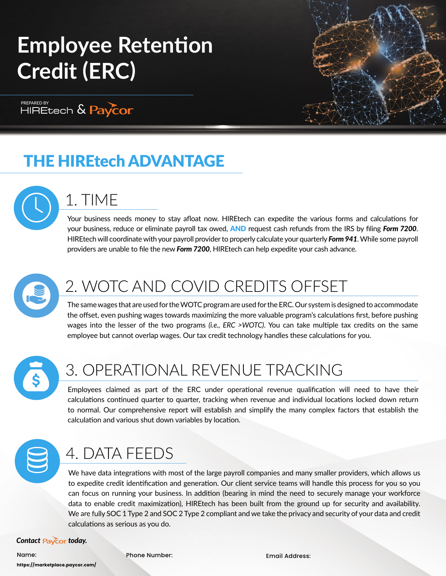PREPARED BY **DESPARED BY COLLECT** 



## THE HIREtech ADVANTAGE



#### 1. TIME

Your business needs money to stay afloat now. HIREtech can expedite the various forms and calculations for your business, reduce or eliminate payroll tax owed, AND request cash refunds from the IRS by filing *Form 7200*. HIREtech will coordinate with your payroll provider to properly calculate your quarterly *Form 941*. While some payroll providers are unable to file the new *Form 7200*, HIREtech can help expedite your cash advance.



### 2. WOTC AND COVID CREDITS OFFSET

The same wages that are used for the WOTC program are used for the ERC. Our system is designed to accommodate the offset, even pushing wages towards maximizing the more valuable program's calculations first, before pushing wages into the lesser of the two programs *(i.e., ERC >WOTC)*. You can take multiple tax credits on the same employee but cannot overlap wages. Our tax credit technology handles these calculations for you.



### 3. OPERATIONAL REVENUE TRACKING

Employees claimed as part of the ERC under operational revenue qualification will need to have their calculations continued quarter to quarter, tracking when revenue and individual locations locked down return to normal. Our comprehensive report will establish and simplify the many complex factors that establish the calculation and various shut down variables by location.



### 4. DATA FEEDS

We have data integrations with most of the large payroll companies and many smaller providers, which allows us to expedite credit identification and generation. Our client service teams will handle this process for you so you can focus on running your business. In addition (bearing in mind the need to securely manage your workforce data to enable credit maximization), HIREtech has been built from the ground up for security and availability. We are fully SOC 1 Type 2 and SOC 2 Type 2 compliant and we take the privacy and security of your data and credit calculations as serious as you do.

#### **Contact Paycor today.**

Name: Phone Number: Email Address: **https://marketplace.paycor.com/**